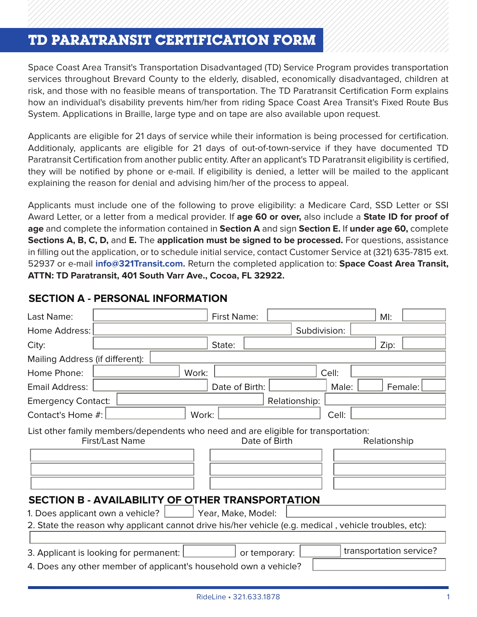# **TD PARATRANSIT CERTIFICATION FORM**

Space Coast Area Transit's Transportation Disadvantaged (TD) Service Program provides Space Coast Area Transit's Transportation Disadvantaged (TD) Service Program provides transportation services throughout Brevard County to the elderly, disabled, economically disadvantaged, children at risk, and those with no feasible means of transportation. The TD Paratransit Certification Form explains how an individual's disability prevents him/her from riding Space Coast Area Transit's Fixed Route Bus System. Applications in Braille, large type and on tape are also available upon request. available upon request.

Additionaly, applicants are eligible for 21 days of out-of-town-service if they have documented TD Paratransit Certification from another public entity. After an applicant's TD Paratransit eligibility is certified, they will be notified by phone or e-mail. If eligibility is denied, a letter will be mailed to the applicant notified by phone or email. If eigenig is denied, a letter will be mailed to the applicant reason for denial and advising him/her of the process to appeal. Applicants are eligible for 21 days of service while their information is being processed for certification. explaining the reason for denial and advising him/her of the process to appeal.

Applicants must include one of the following to prove eligibility: a Medicare Card, SSD Letter or SSI Award Letter, or a letter from a medical provider. If **age 60 or over,** also include a **State ID for proof of** age and complete the information contained in Section A and sign Section E. If under age 60, complete Sections A, B, C, D, and E. The application must be signed to be processed. For questions, assistance **60, 60, 60, 60, 60, 60, and E.** The application must be signed to be processed. For questions, assistance in filling out the application, or to schedule initial service, contact Customer Service at (321) 635-7815 ext.<br>E2023 52937 or e-mail **[info@321Transit.com.](mailto:info@321Transit.com)** Return the completed application to: **Space Coast Area Transit, 1988** to: **Space Coast Area Transit, ATTN: TD Paratransit, 401 South Varr Ave., Cocoa, FL 32922. ATTN: TD Paratransit, 401 South Varr Ave., Cocoa, FL 32922.** Applicants must include one of the following to prove eligibility: a Medicare Card, SSD Letter or SSI

| Last Name:                                                                                            |                 |       | <b>First Name:</b> |               |       | M!                      |  |  |
|-------------------------------------------------------------------------------------------------------|-----------------|-------|--------------------|---------------|-------|-------------------------|--|--|
| Home Address:                                                                                         |                 |       |                    | Subdivision:  |       |                         |  |  |
| City:                                                                                                 |                 |       | State:             |               |       | Zip:                    |  |  |
| Mailing Address (if different):                                                                       |                 |       |                    |               |       |                         |  |  |
| Home Phone:                                                                                           |                 | Work: |                    |               | Cell: |                         |  |  |
| Email Address:                                                                                        |                 |       | Date of Birth:     |               | Male: | Female:                 |  |  |
| <b>Emergency Contact:</b>                                                                             |                 |       |                    | Relationship: |       |                         |  |  |
| Contact's Home #:                                                                                     |                 | Work: |                    |               | Cell: |                         |  |  |
| List other family members/dependents who need and are eligible for transportation:                    | First/Last Name |       |                    | Date of Birth |       | Relationship            |  |  |
| SECTION B - AVAILABILITY OF OTHER TRANSPORTATION                                                      |                 |       |                    |               |       |                         |  |  |
| 1. Does applicant own a vehicle?   Pear, Make, Model:                                                 |                 |       |                    |               |       |                         |  |  |
| 2. State the reason why applicant cannot drive his/her vehicle (e.g. medical, vehicle troubles, etc): |                 |       |                    |               |       |                         |  |  |
| 3. Applicant is looking for permanent: [                                                              |                 |       |                    | or temporary: |       | transportation service? |  |  |
| 4. Does any other member of applicant's household own a vehicle?                                      |                 |       |                    |               |       |                         |  |  |

### **SECTION A - PERSONAL INFORMATION**